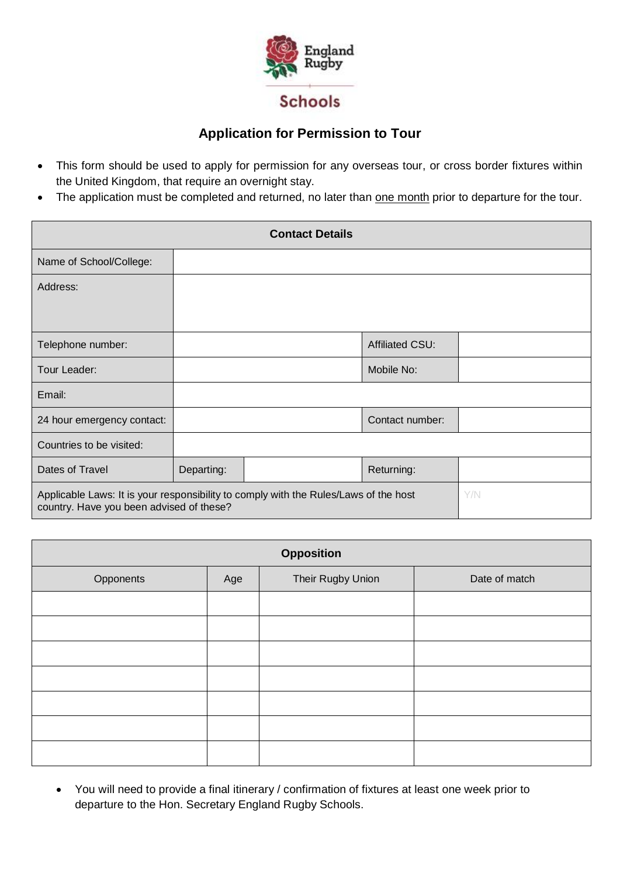

## **Application for Permission to Tour**

- This form should be used to apply for permission for any overseas tour, or cross border fixtures within the United Kingdom, that require an overnight stay.
- The application must be completed and returned, no later than one month prior to departure for the tour.

| <b>Contact Details</b>                                                                                                           |            |  |                 |  |
|----------------------------------------------------------------------------------------------------------------------------------|------------|--|-----------------|--|
| Name of School/College:                                                                                                          |            |  |                 |  |
| Address:                                                                                                                         |            |  |                 |  |
|                                                                                                                                  |            |  |                 |  |
| Telephone number:                                                                                                                |            |  | Affiliated CSU: |  |
| Tour Leader:                                                                                                                     |            |  | Mobile No:      |  |
| Email:                                                                                                                           |            |  |                 |  |
| 24 hour emergency contact:                                                                                                       |            |  | Contact number: |  |
| Countries to be visited:                                                                                                         |            |  |                 |  |
| Dates of Travel                                                                                                                  | Departing: |  | Returning:      |  |
| Applicable Laws: It is your responsibility to comply with the Rules/Laws of the host<br>country. Have you been advised of these? |            |  | Y/N             |  |

| <b>Opposition</b> |     |                   |               |
|-------------------|-----|-------------------|---------------|
| Opponents         | Age | Their Rugby Union | Date of match |
|                   |     |                   |               |
|                   |     |                   |               |
|                   |     |                   |               |
|                   |     |                   |               |
|                   |     |                   |               |
|                   |     |                   |               |
|                   |     |                   |               |

• You will need to provide a final itinerary / confirmation of fixtures at least one week prior to departure to the Hon. Secretary England Rugby Schools.